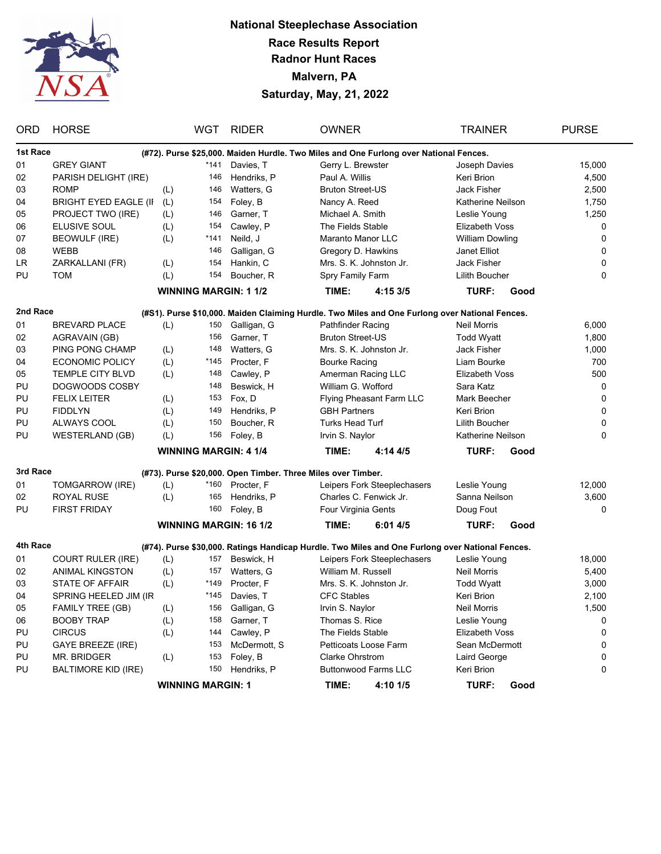

## **National Steeplechase Association Race Results Report Radnor Hunt Races Malvern, PA Saturday, May, 21, 2022**

| <b>ORD</b>               | <b>HORSE</b>                 |     | <b>WGT</b> | <b>RIDER</b>                                                 | <b>OWNER</b>             |                                                                                                 | <b>TRAINER</b>        |                | <b>PURSE</b> |
|--------------------------|------------------------------|-----|------------|--------------------------------------------------------------|--------------------------|-------------------------------------------------------------------------------------------------|-----------------------|----------------|--------------|
| 1st Race                 |                              |     |            |                                                              |                          | (#72). Purse \$25,000. Maiden Hurdle. Two Miles and One Furlong over National Fences.           |                       |                |              |
| 01                       | <b>GREY GIANT</b>            |     | *141       | Davies, T                                                    | Gerry L. Brewster        |                                                                                                 | Joseph Davies         |                | 15,000       |
| 02                       | PARISH DELIGHT (IRE)         |     | 146        | Hendriks, P                                                  | Paul A. Willis           |                                                                                                 | Keri Brion            |                | 4,500        |
| 03                       | <b>ROMP</b>                  | (L) | 146        | Watters, G                                                   | <b>Bruton Street-US</b>  |                                                                                                 | <b>Jack Fisher</b>    |                | 2,500        |
| 04                       | <b>BRIGHT EYED EAGLE (II</b> | (L) | 154        | Foley, B                                                     | Nancy A. Reed            |                                                                                                 | Katherine Neilson     |                | 1,750        |
| 05                       | PROJECT TWO (IRE)            | (L) | 146        | Garner, T                                                    | Michael A. Smith         |                                                                                                 | Leslie Young          |                | 1,250        |
| 06                       | ELUSIVE SOUL                 | (L) | 154        | Cawley, P                                                    | The Fields Stable        |                                                                                                 | Elizabeth Voss        |                | 0            |
| 07                       | <b>BEOWULF (IRE)</b>         | (L) | $*141$     | Neild, J                                                     | Maranto Manor LLC        |                                                                                                 | William Dowling       |                | 0            |
| 08                       | <b>WEBB</b>                  |     | 146        | Galligan, G                                                  | Gregory D. Hawkins       |                                                                                                 | Janet Elliot          |                | 0            |
| LR                       | ZARKALLANI (FR)              | (L) | 154        | Hankin, C                                                    | Mrs. S. K. Johnston Jr.  |                                                                                                 | Jack Fisher           |                | 0            |
| PU                       | <b>TOM</b>                   | (L) | 154        | Boucher, R                                                   | Spry Family Farm         |                                                                                                 | Lilith Boucher        |                | 0            |
|                          |                              |     |            | <b>WINNING MARGIN: 1 1/2</b>                                 | TIME:                    | 4:15 3/5                                                                                        | TURF:                 | Good           |              |
| 2nd Race                 |                              |     |            |                                                              |                          | (#S1). Purse \$10,000. Maiden Claiming Hurdle. Two Miles and One Furlong over National Fences.  |                       |                |              |
| 01                       | <b>BREVARD PLACE</b>         | (L) | 150        | Galligan, G                                                  | Pathfinder Racing        |                                                                                                 | <b>Neil Morris</b>    |                | 6,000        |
| 02                       | AGRAVAIN (GB)                |     | 156        | Garner, T                                                    | <b>Bruton Street-US</b>  |                                                                                                 | <b>Todd Wyatt</b>     |                | 1,800        |
| 03                       | <b>PING PONG CHAMP</b>       | (L) | 148        | Watters, G                                                   |                          | Mrs. S. K. Johnston Jr.                                                                         | Jack Fisher           |                | 1,000        |
| 04                       | <b>ECONOMIC POLICY</b>       | (L) | *145       | Procter, F                                                   | <b>Bourke Racing</b>     |                                                                                                 | Liam Bourke           |                | 700          |
| 05                       | TEMPLE CITY BLVD             | (L) | 148        | Cawley, P                                                    | Amerman Racing LLC       |                                                                                                 | Elizabeth Voss        |                | 500          |
| PU                       | DOGWOODS COSBY               |     | 148        | Beswick, H                                                   | William G. Wofford       |                                                                                                 | Sara Katz             |                | 0            |
| PU                       | <b>FELIX LEITER</b>          | (L) | 153        | Fox, D                                                       | Flying Pheasant Farm LLC |                                                                                                 | Mark Beecher          |                | 0            |
| PU                       | <b>FIDDLYN</b>               | (L) | 149        | Hendriks, P                                                  | <b>GBH Partners</b>      |                                                                                                 | Keri Brion            |                | 0            |
| PU                       | ALWAYS COOL                  | (L) | 150        | Boucher, R                                                   | <b>Turks Head Turf</b>   |                                                                                                 | <b>Lilith Boucher</b> |                | 0            |
| PU                       | <b>WESTERLAND (GB)</b>       | (L) | 156        | Foley, B                                                     | Irvin S. Naylor          |                                                                                                 | Katherine Neilson     |                | 0            |
|                          |                              |     |            | <b>WINNING MARGIN: 4 1/4</b>                                 | TIME:                    | 4:144/5                                                                                         | TURF:                 | Good           |              |
| 3rd Race                 |                              |     |            | (#73). Purse \$20,000. Open Timber. Three Miles over Timber. |                          |                                                                                                 |                       |                |              |
| 01                       | TOMGARROW (IRE)              | (L) | *160       | Procter, F                                                   |                          | Leipers Fork Steeplechasers                                                                     | Leslie Young          |                | 12,000       |
| 02                       | ROYAL RUSE                   | (L) | 165        | Hendriks, P                                                  |                          | Charles C. Fenwick Jr.                                                                          | Sanna Neilson         |                | 3,600        |
| PU                       | <b>FIRST FRIDAY</b>          |     | 160        | Foley, B                                                     | Four Virginia Gents      |                                                                                                 | Doug Fout             |                | 0            |
|                          |                              |     |            | <b>WINNING MARGIN: 16 1/2</b>                                | TIME:                    | 6:014/5                                                                                         | TURF:                 | Good           |              |
| 4th Race                 |                              |     |            |                                                              |                          | (#74). Purse \$30,000. Ratings Handicap Hurdle. Two Miles and One Furlong over National Fences. |                       |                |              |
| 01                       | <b>COURT RULER (IRE)</b>     | (L) | 157        | Beswick, H                                                   |                          | Leipers Fork Steeplechasers                                                                     | Leslie Young          |                | 18,000       |
| 02                       | <b>ANIMAL KINGSTON</b>       | (L) | 157        | Watters, G                                                   | William M. Russell       |                                                                                                 | Neil Morris           |                | 5,400        |
| 03                       | STATE OF AFFAIR              | (L) | *149       | Procter, F                                                   |                          | Mrs. S. K. Johnston Jr.                                                                         | <b>Todd Wyatt</b>     |                | 3,000        |
| 04                       | SPRING HEELED JIM (IR        |     | *145       | Davies, T                                                    | <b>CFC Stables</b>       |                                                                                                 | Keri Brion            |                | 2,100        |
| 05                       | <b>FAMILY TREE (GB)</b>      | (L) | 156        | Galligan, G                                                  | Irvin S. Naylor          |                                                                                                 | Neil Morris           |                | 1,500        |
| 06                       | <b>BOOBY TRAP</b>            | (L) | 158        | Garner, T                                                    | Thomas S. Rice           |                                                                                                 | Leslie Young          |                | 0            |
| PU                       | <b>CIRCUS</b>                | (L) | 144        | Cawley, P                                                    | The Fields Stable        |                                                                                                 | <b>Elizabeth Voss</b> |                | 0            |
| PU                       | <b>GAYE BREEZE (IRE)</b>     |     | 153        | McDermott, S                                                 |                          | Petticoats Loose Farm                                                                           |                       | Sean McDermott |              |
| PU                       | MR. BRIDGER                  | (L) | 153        | Foley, B                                                     | <b>Clarke Ohrstrom</b>   |                                                                                                 | Laird George          |                | 0<br>0       |
| PU                       | <b>BALTIMORE KID (IRE)</b>   |     | 150        | Hendriks, P                                                  |                          | <b>Buttonwood Farms LLC</b>                                                                     | Keri Brion            |                | 0            |
| <b>WINNING MARGIN: 1</b> |                              |     |            |                                                              | TIME:                    | 4:10 1/5                                                                                        | TURF:                 | Good           |              |